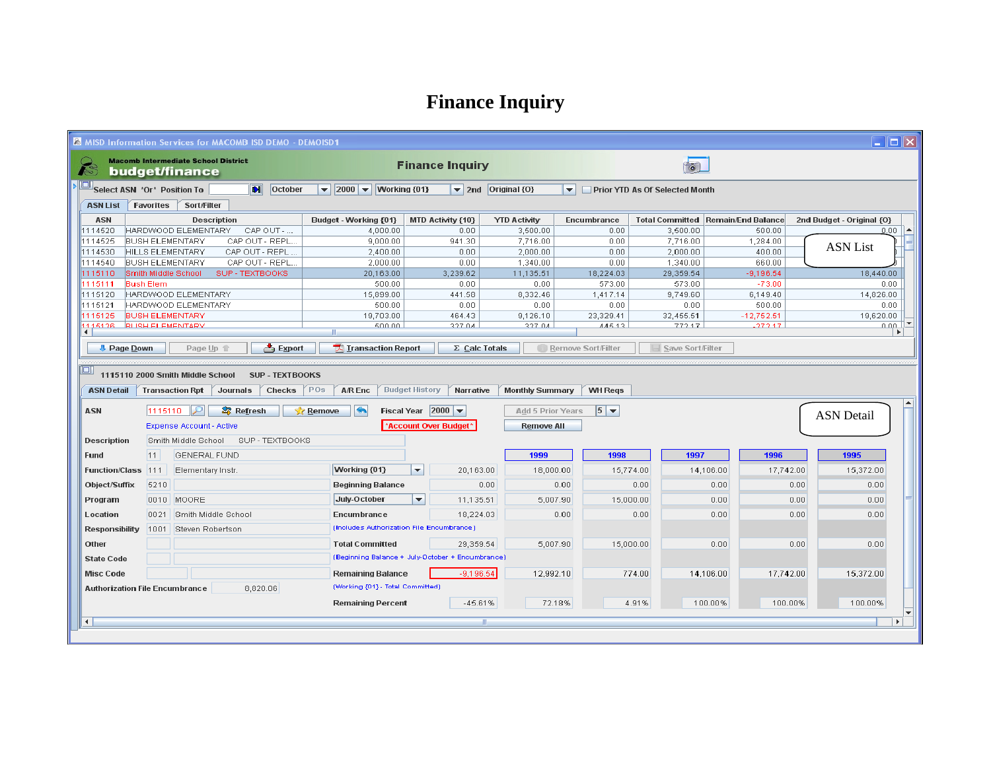## **Finance Inquiry**

| $\Box$ o $\boxtimes$<br><b>&amp; MISD Information Services for MACOMB ISD DEMO - DEMOISD1</b>                                                                                       |                         |                                                              |                                     |                                                                                                                                        |                          |                |                          |                                |                  |                                             |                           |                       |
|-------------------------------------------------------------------------------------------------------------------------------------------------------------------------------------|-------------------------|--------------------------------------------------------------|-------------------------------------|----------------------------------------------------------------------------------------------------------------------------------------|--------------------------|----------------|--------------------------|--------------------------------|------------------|---------------------------------------------|---------------------------|-----------------------|
|                                                                                                                                                                                     |                         | <b>Macomb Intermediate School District</b><br>budget/finance |                                     |                                                                                                                                        | <b>Finance Inquiry</b>   |                |                          |                                |                  |                                             |                           |                       |
| Select ASN *Or* Position To<br>$\blacksquare$<br>October                                                                                                                            |                         |                                                              |                                     | $\blacktriangleright$ 2000 $\blacktriangleright$ Working {01}<br>Original {0}<br>$\blacktriangleright$ 2nd<br>$\overline{\phantom{a}}$ |                          |                |                          | Prior YTD As Of Selected Month |                  |                                             |                           |                       |
| <b>ASN List</b><br>Favorites<br><b>Sort/Filter</b>                                                                                                                                  |                         |                                                              |                                     |                                                                                                                                        |                          |                |                          |                                |                  |                                             |                           |                       |
| <b>ASN</b>                                                                                                                                                                          |                         |                                                              | <b>Description</b>                  | Budget - Working {01}                                                                                                                  | <b>MTD Activity {10}</b> |                | <b>YTD Activity</b>      | Encumbrance                    |                  | <b>Total Committed   Remain/End Balance</b> | 2nd Budget - Original {O} |                       |
| 1114520                                                                                                                                                                             |                         | HARDWOOD ELEMENTARY                                          | CAP OUT -                           | 4.000.00                                                                                                                               |                          | 0.00           | 3,500.00                 | 0.00                           | 3,500.00         | 500.00                                      |                           | $0.00 -$<br>۰         |
| 1114525                                                                                                                                                                             | <b>BUSH ELEMENTARY</b>  |                                                              | CAP OUT - REPL                      | 9,000.00                                                                                                                               |                          | 941.30         | 7,716.00                 | 0.00                           | 7,716.00         | 1,284.00                                    | <b>ASN</b> List           |                       |
| 1114530                                                                                                                                                                             | <b>HILLS ELEMENTARY</b> |                                                              | CAP OUT - REPL.                     | 2,400.00                                                                                                                               |                          | 0.00           | 2,000.00                 | 0.00                           | 2,000.00         | 400.00                                      |                           |                       |
| 1114540                                                                                                                                                                             | <b>BUSH ELEMENTARY</b>  |                                                              | CAP OUT - REPL.                     | 2,000.00                                                                                                                               |                          | 0.00           | 1,340.00                 | 0.00                           | 1,340.00         | 660.00                                      |                           |                       |
| 1115110                                                                                                                                                                             | Smith Middle School     |                                                              | SUP - TEXTBOOKS                     | 20,163.00                                                                                                                              |                          | 3,239.62       | 11,135.51                | 18,224.03                      | 29,359.54        | $-9,196.54$                                 | 18,440.00                 |                       |
| 1115111                                                                                                                                                                             | <b>Bush Elem</b>        | HARDWOOD ELEMENTARY                                          |                                     | 500.00                                                                                                                                 |                          | 0.00           | 0.00                     | 573.00                         | 573.00           | $-73.00$                                    |                           | 0.00                  |
| 1115120<br>1115121                                                                                                                                                                  |                         | HARDWOOD ELEMENTARY                                          |                                     | 15,899.00<br>500.00                                                                                                                    |                          | 441.58<br>0.00 | 8,332.46<br>0.00         | 1,417.14<br>0.00               | 9,749.60<br>0.00 | 6,149.40<br>500.00                          | 14,826.00                 | 0.00                  |
| 1115125                                                                                                                                                                             | <b>BUSH ELEMENTARY</b>  |                                                              |                                     | 19,703.00                                                                                                                              |                          | 464.43         | 9,126.10                 | 23,329.41                      | 32,455.51        | $-12,752.51$                                | 19,620.00                 |                       |
| 1115128                                                                                                                                                                             | <b>RUSH ELEMENTARY</b>  |                                                              |                                     | 500.00                                                                                                                                 |                          | 327.04         | 327.04                   | 11512                          | 777 17           | .777.17                                     |                           | لممم                  |
| $\left  \cdot \right $                                                                                                                                                              |                         |                                                              |                                     |                                                                                                                                        |                          |                |                          |                                |                  |                                             |                           | $\blacktriangleright$ |
| $\Rightarrow$ Export<br>TA Transaction Report<br><b>U</b> Page Down<br>Page Up 1<br>$\Sigma$ Calc Totals<br>Remove Sort/Filter<br>Save Sort/Filter                                  |                         |                                                              |                                     |                                                                                                                                        |                          |                |                          |                                |                  |                                             |                           |                       |
|                                                                                                                                                                                     |                         |                                                              |                                     |                                                                                                                                        |                          |                |                          |                                |                  |                                             |                           |                       |
| $\Box$                                                                                                                                                                              |                         |                                                              |                                     |                                                                                                                                        |                          |                |                          |                                |                  |                                             |                           |                       |
| 1115110 2000 Smith Middle School<br><b>SUP - TEXTBOOKS</b>                                                                                                                          |                         |                                                              |                                     |                                                                                                                                        |                          |                |                          |                                |                  |                                             |                           |                       |
| POs<br><b>Budget History</b><br><b>WH Regs</b><br><b>ASN Detail</b><br><b>Transaction Rpt</b><br>Journals<br><b>Checks</b><br><b>A/R Enc</b><br>Narrative<br><b>Monthly Summary</b> |                         |                                                              |                                     |                                                                                                                                        |                          |                |                          |                                |                  |                                             |                           |                       |
|                                                                                                                                                                                     |                         |                                                              |                                     |                                                                                                                                        |                          |                |                          |                                |                  |                                             |                           |                       |
| <b>ASN</b>                                                                                                                                                                          | 1115110                 | ₽                                                            | <b>S</b> Refresh                    | $\blacktriangleleft$<br>Remove                                                                                                         | Fiscal Year $ 2000 $     |                | <b>Add 5 Prior Years</b> | $5 -$                          |                  |                                             | <b>ASN</b> Detail         |                       |
|                                                                                                                                                                                     |                         | <b>Expense Account - Active</b>                              |                                     |                                                                                                                                        | *Account Over Budget*    |                | <b>Remove All</b>        |                                |                  |                                             |                           |                       |
| <b>Description</b>                                                                                                                                                                  |                         |                                                              | Smith Middle School SUP - TEXTBOOKS |                                                                                                                                        |                          |                |                          |                                |                  |                                             |                           |                       |
| <b>Fund</b>                                                                                                                                                                         | 11                      | GENERAL FUND                                                 |                                     |                                                                                                                                        |                          |                | 1999                     | 1998                           | 1997             | 1996                                        | 1995                      |                       |
| <b>Function/Class</b>                                                                                                                                                               | 1111                    | Elementary Instr                                             |                                     | Working {01}                                                                                                                           | $\overline{\phantom{0}}$ | 20,163.00      | 18,000.00                |                                | 15,774.00        | 14,106.00                                   | 17,742.00<br>15,372.00    |                       |
| Object/Suffix                                                                                                                                                                       | 5210                    |                                                              |                                     | <b>Beginning Balance</b>                                                                                                               |                          | 0.00           |                          | 0.00                           | 0.00             | 0.00                                        | 0.00<br>0.00              |                       |
| Program                                                                                                                                                                             |                         | 0010 MOORE                                                   |                                     | July-October                                                                                                                           | $\blacktriangledown$     | 11,135.51      | 5,007.90                 |                                | 15,000.00        | 0.00                                        | 0.00<br>0.00              |                       |
| Location                                                                                                                                                                            | 0021                    | Smith Middle School                                          |                                     | Encumbrance                                                                                                                            |                          | 18,224.03      |                          | 0.00                           | 0.00             | 0.00                                        | 0.00<br>0.00              |                       |
| <b>Responsibility</b>                                                                                                                                                               | 1001                    | Steven Robertson                                             |                                     | (Includes Authorization File Encumbrance)                                                                                              |                          |                |                          |                                |                  |                                             |                           |                       |
| Other                                                                                                                                                                               |                         |                                                              |                                     | <b>Total Committed</b>                                                                                                                 |                          | 29,359.54      | 5,007.90                 |                                | 15,000.00        | 0.00                                        | 0.00<br>0.00              |                       |
| <b>State Code</b>                                                                                                                                                                   |                         |                                                              |                                     | (Beginning Balance + July-October + Encumbrance)                                                                                       |                          |                |                          |                                |                  |                                             |                           |                       |
| <b>Misc Code</b>                                                                                                                                                                    |                         |                                                              |                                     | <b>Remaining Balance</b><br>$-9.196.54$                                                                                                |                          |                | 12,992.10                |                                | 774.00           | 14,106.00                                   | 17,742.00<br>15,372.00    |                       |
| (Working {01} - Total Committed)<br>8,820.06<br><b>Authorization File Encumbrance</b>                                                                                               |                         |                                                              |                                     |                                                                                                                                        |                          |                |                          |                                |                  |                                             |                           |                       |
|                                                                                                                                                                                     |                         |                                                              |                                     | <b>Remaining Percent</b>                                                                                                               |                          | $-45.61%$      | 72.18%                   |                                | 4.91%            | 100.00%                                     | 100.00%<br>100.00%        |                       |
|                                                                                                                                                                                     |                         |                                                              |                                     |                                                                                                                                        |                          |                |                          |                                |                  |                                             |                           |                       |
| $\left  \cdot \right $                                                                                                                                                              |                         |                                                              |                                     |                                                                                                                                        |                          | $\mathbb{R}$   |                          |                                |                  |                                             |                           | $\blacktriangleright$ |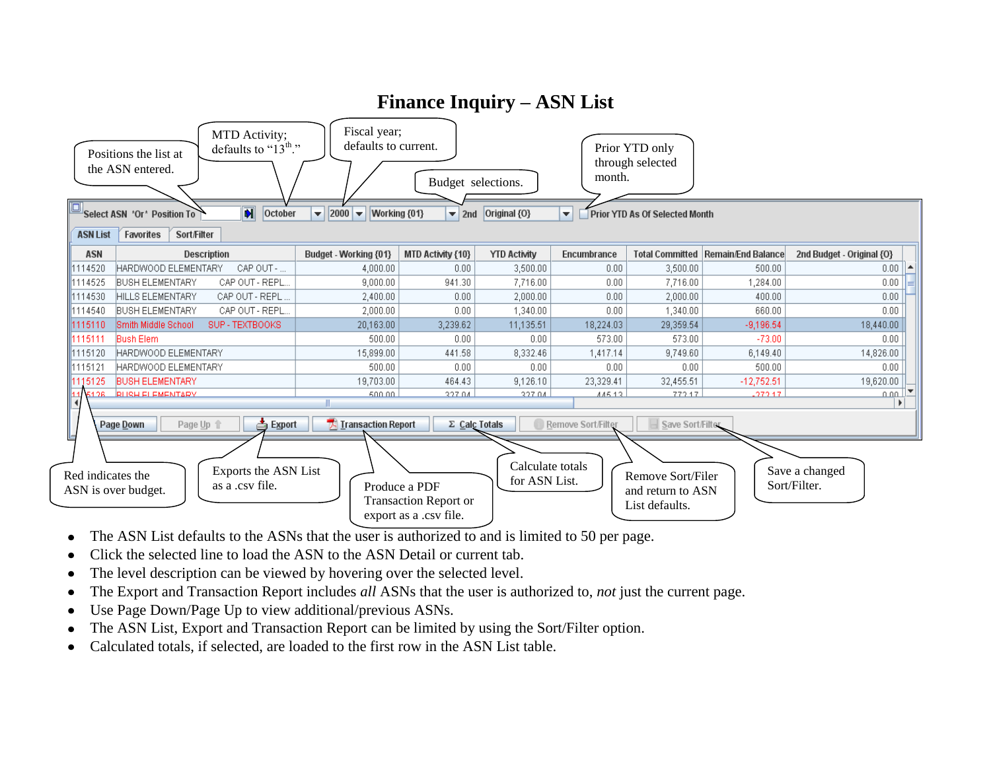

- The ASN List defaults to the ASNs that the user is authorized to and is limited to 50 per page.  $\bullet$
- Click the selected line to load the ASN to the ASN Detail or current tab.
- The level description can be viewed by hovering over the selected level.
- The Export and Transaction Report includes *all* ASNs that the user is authorized to, *not* just the current page.
- Use Page Down/Page Up to view additional/previous ASNs.  $\bullet$
- The ASN List, Export and Transaction Report can be limited by using the Sort/Filter option.  $\bullet$
- Calculated totals, if selected, are loaded to the first row in the ASN List table.  $\bullet$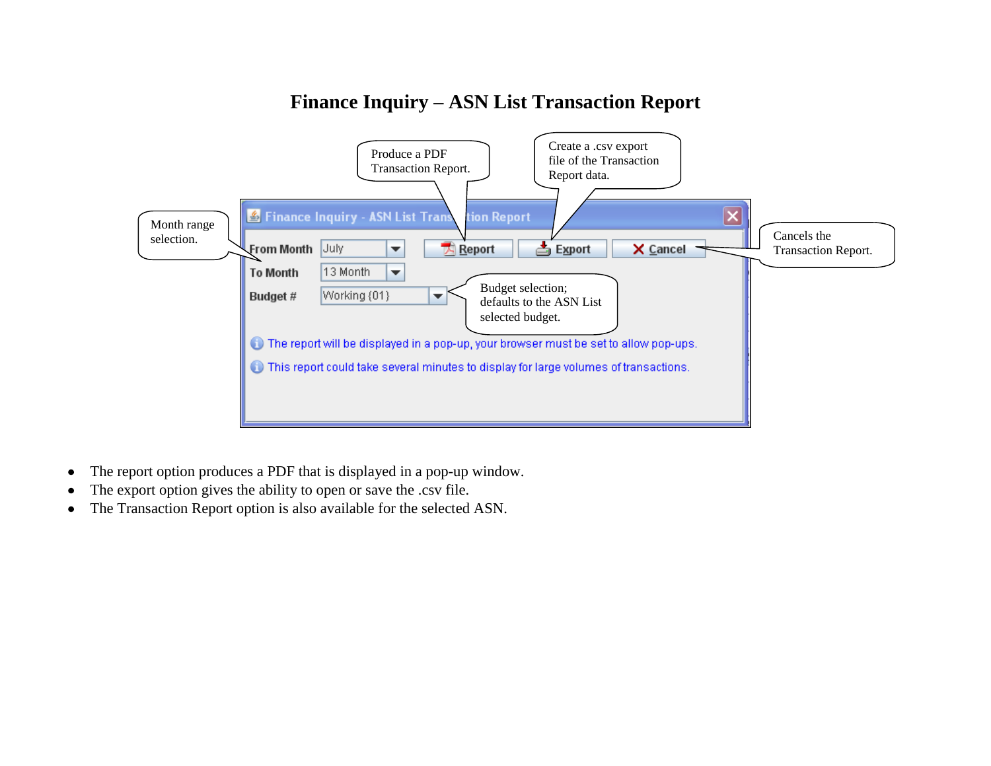## **Finance Inquiry – ASN List Transaction Report**



- The report option produces a PDF that is displayed in a pop-up window.  $\bullet$
- The export option gives the ability to open or save the .csv file.
- The Transaction Report option is also available for the selected ASN.  $\bullet$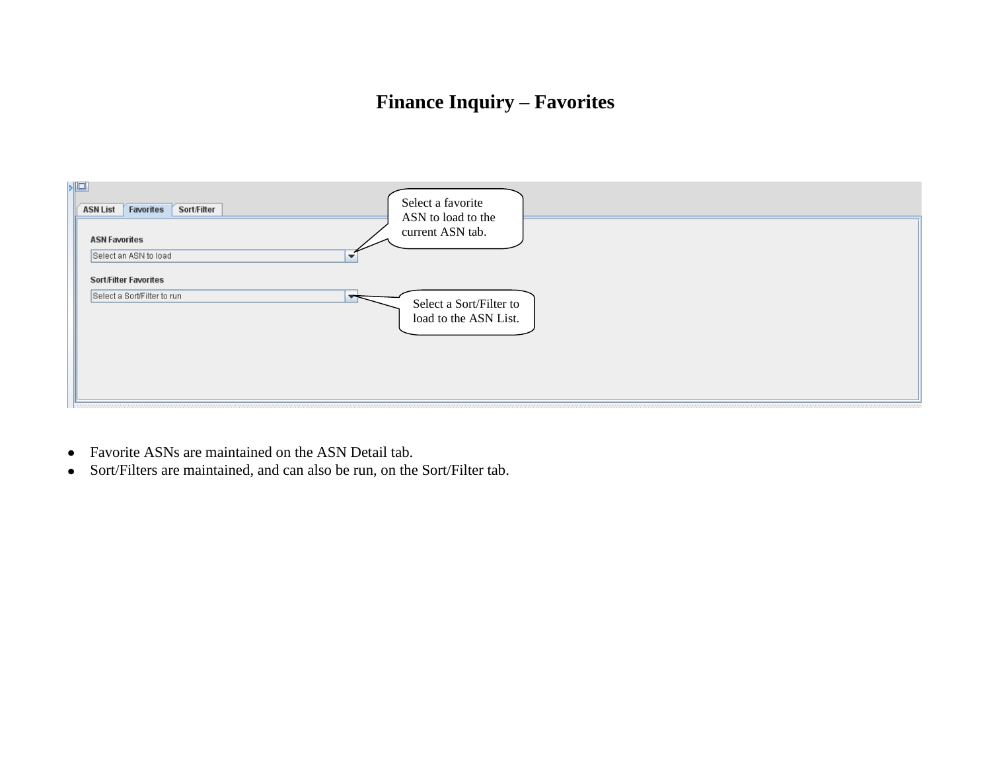## **Finance Inquiry – Favorites**



- Favorite ASNs are maintained on the ASN Detail tab.
- Sort/Filters are maintained, and can also be run, on the Sort/Filter tab.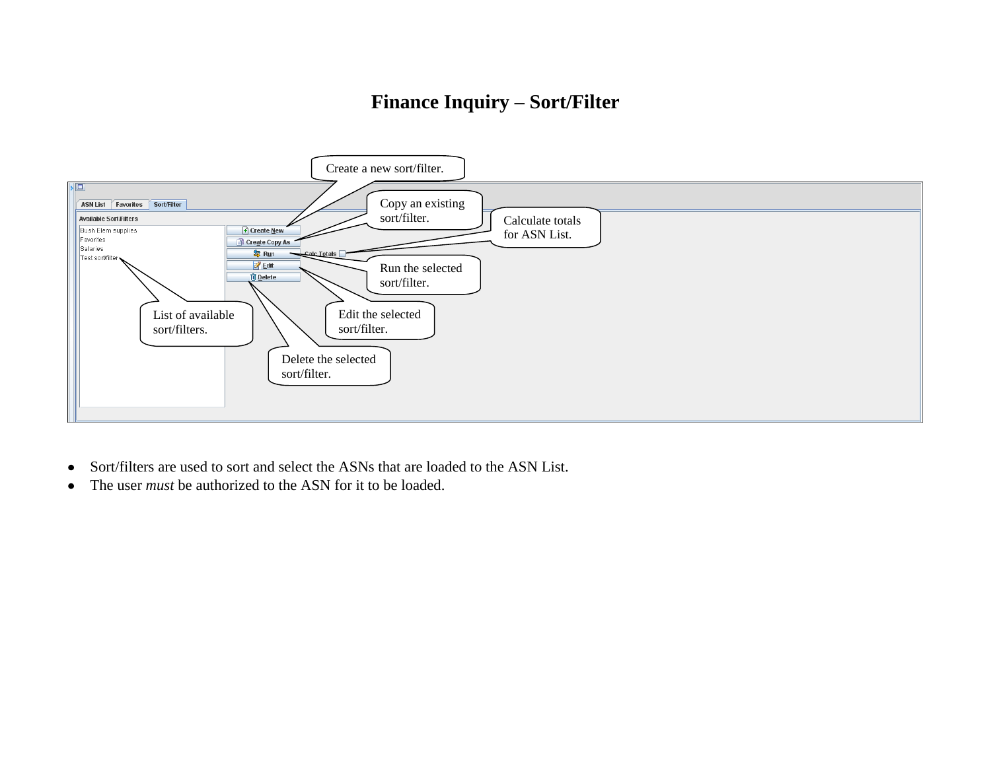## **Finance Inquiry – Sort/Filter**



- Sort/filters are used to sort and select the ASNs that are loaded to the ASN List.  $\bullet$
- The user *must* be authorized to the ASN for it to be loaded.  $\bullet$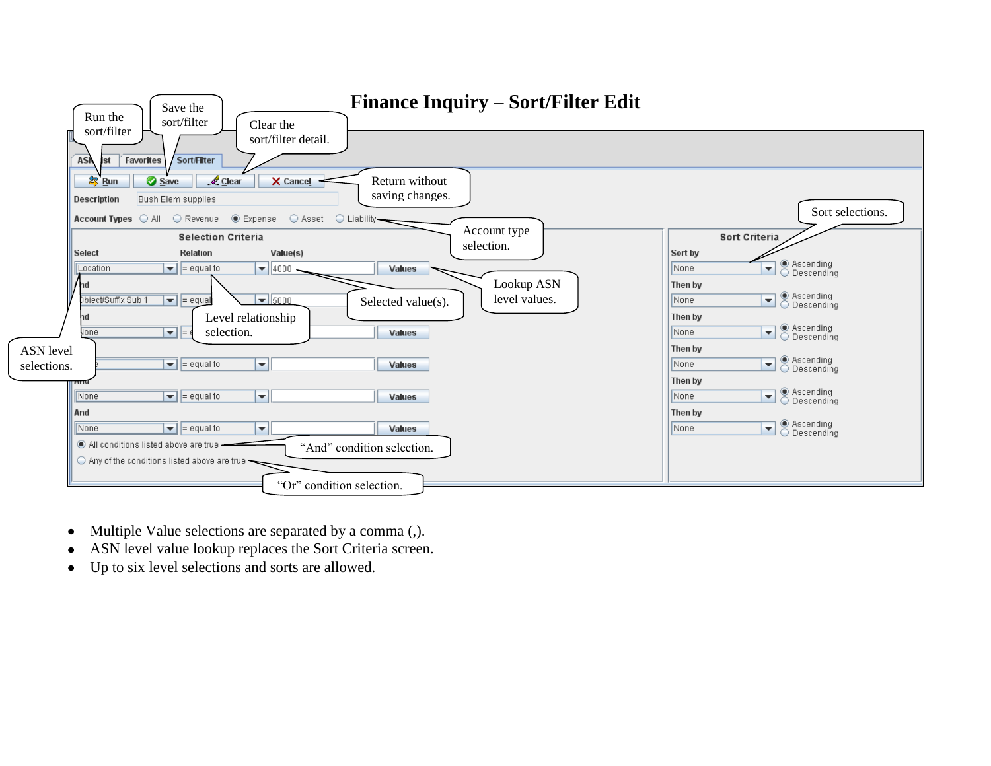| Save the<br>Run the<br>sort/filter<br>Clear the                                                                                                                                                           | <b>Finance Inquiry – Sort/Filter Edit</b>            |                                                                                                                                                      |
|-----------------------------------------------------------------------------------------------------------------------------------------------------------------------------------------------------------|------------------------------------------------------|------------------------------------------------------------------------------------------------------------------------------------------------------|
| sort/filter<br>sort/filter detail.<br>Favorites<br>Sort/Filter<br><b>ASN</b><br>ist                                                                                                                       |                                                      |                                                                                                                                                      |
| 每 Run<br>Save<br>$\sqrt{2}$ Clear<br>X Cancel<br><b>Description</b><br>Bush Elem supplies                                                                                                                 | Return without<br>saving changes.                    |                                                                                                                                                      |
| Account Types C All C Revenue C Expense<br>○ Asset<br><b>Selection Criteria</b>                                                                                                                           | $\bigcirc$ Liability-<br>Account type                | Sort selections.<br>Sort Criteria                                                                                                                    |
| Select<br><b>Relation</b><br>Value(s)<br>$\boxed{\blacktriangleright}$ = equal to<br>$\blacktriangledown$ 4000.<br>Location<br>nd                                                                         | selection.<br><b>Values</b><br>Lookup ASN            | Sort by<br>◉ Ascending<br>◯ Descending<br>$\overline{\phantom{a}}$<br>None<br>Then by                                                                |
| Dbiect/Suffix Sub 1<br>$\boxed{\blacktriangleright}$ = equal<br>$\overline{\phantom{0}}$ 5000<br>Level relationship<br>nd<br>$\overline{\mathbf{v}}$ $\overline{\mathbf{v}}$<br><b>Jone</b><br>selection. | level values.<br>Selected value(s).<br><b>Values</b> | ◉ Ascending<br>◯ Descending<br>None<br>$\blacktriangledown$<br>Then by<br>◉ Ascending<br>└ Descending<br>None<br>$\overline{\phantom{a}}$<br>Then by |
| <b>ASN</b> level<br>$\boxed{\mathbf{v}}$ = equal to<br>╺╢<br>selections.                                                                                                                                  | <b>Values</b>                                        | ◉ Ascending<br>◯ Descending<br>None<br>$\overline{\phantom{a}}$<br>Then by                                                                           |
| ┳∥<br>None<br>$\blacktriangleright$ = equal to<br>And<br>$\blacktriangleright$ = equal to<br>┳<br>None                                                                                                    | <b>Values</b><br><b>Values</b>                       | ◉ Ascending<br>└ Descending<br>$\overline{\phantom{a}}$<br>None<br>Then by<br>◉ Ascending<br>◯ Descending<br>▾<br>None                               |
| All conditions listed above are true -<br>$\bigcirc$ Any of the conditions listed above are true $\overline{\phantom{a}}$                                                                                 | "And" condition selection.                           |                                                                                                                                                      |
|                                                                                                                                                                                                           | "Or" condition selection.                            |                                                                                                                                                      |

- Multiple Value selections are separated by a comma (,).
- ASN level value lookup replaces the Sort Criteria screen.
- Up to six level selections and sorts are allowed.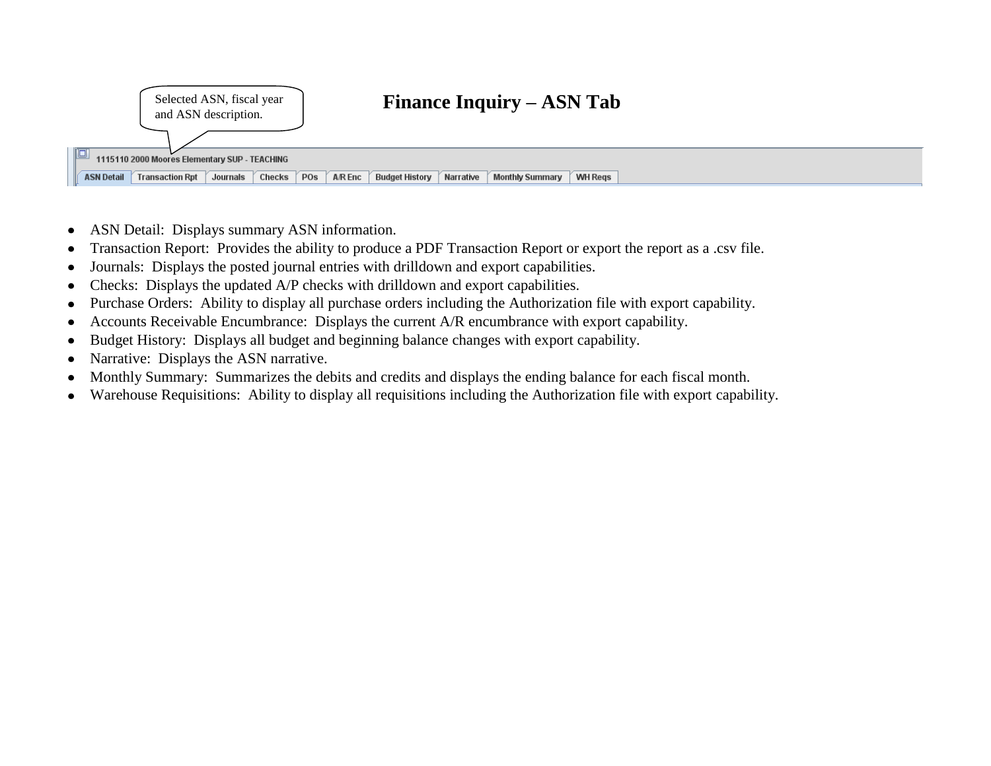

- ASN Detail: Displays summary ASN information.  $\bullet$
- Transaction Report: Provides the ability to produce a PDF Transaction Report or export the report as a .csv file.  $\bullet$
- Journals: Displays the posted journal entries with drilldown and export capabilities.
- Checks: Displays the updated A/P checks with drilldown and export capabilities.  $\bullet$
- Purchase Orders: Ability to display all purchase orders including the Authorization file with export capability.  $\bullet$
- Accounts Receivable Encumbrance: Displays the current A/R encumbrance with export capability.  $\bullet$
- Budget History: Displays all budget and beginning balance changes with export capability.  $\bullet$
- Narrative: Displays the ASN narrative.  $\bullet$
- Monthly Summary: Summarizes the debits and credits and displays the ending balance for each fiscal month.  $\bullet$
- Warehouse Requisitions: Ability to display all requisitions including the Authorization file with export capability.  $\bullet$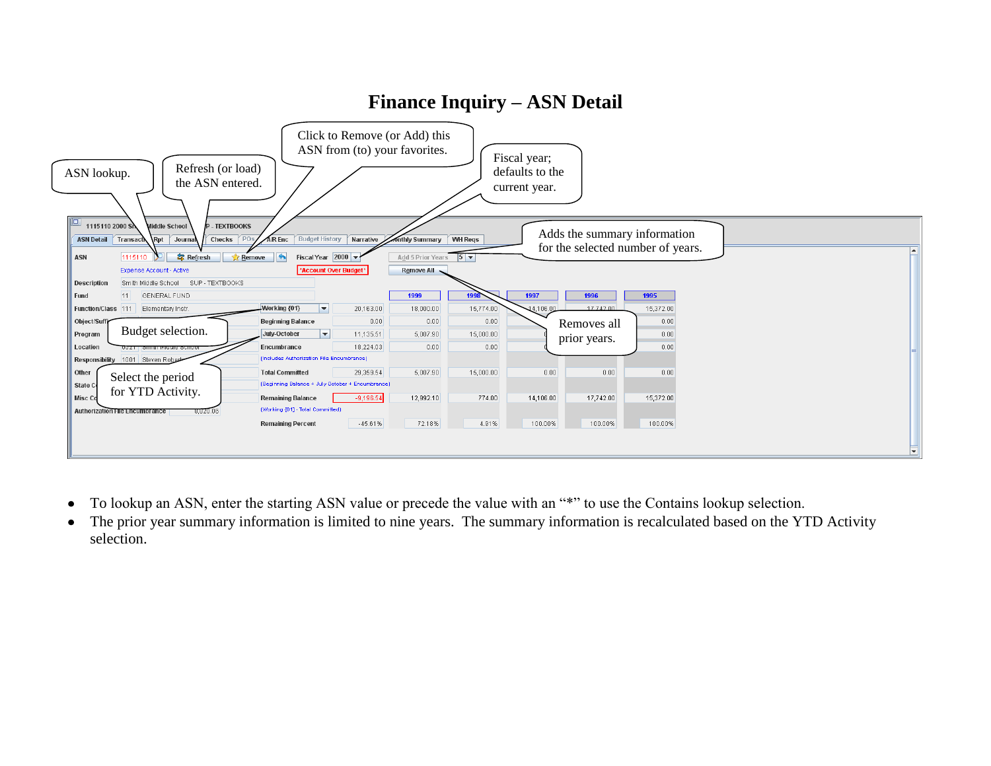

**Finance Inquiry – ASN Detail**

- To lookup an ASN, enter the starting ASN value or precede the value with an "\*" to use the Contains lookup selection.  $\bullet$
- The prior year summary information is limited to nine years. The summary information is recalculated based on the YTD Activity  $\bullet$ selection.